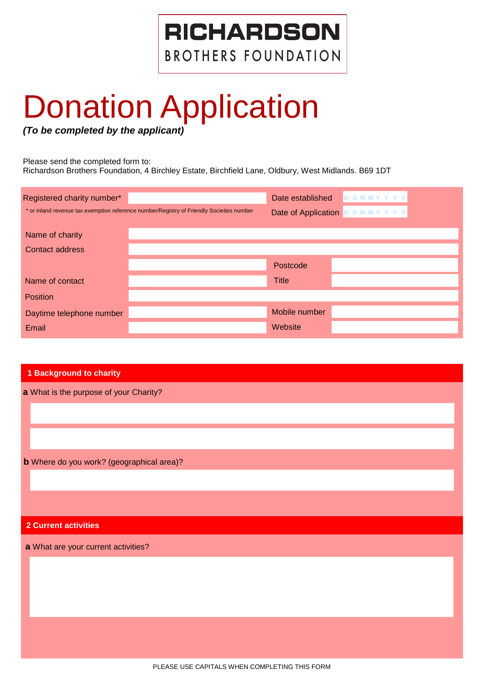# **RICHARDSON** BROTHERS FOUNDATION

# Donation Application

*(To be completed by the applicant)*

Please send the completed form to:

Richardson Brothers Foundation, 4 Birchley Estate, Birchfield Lane, Oldbury, West Midlands. B69 1DT

| Registered charity number* | * or inland revenue tax exemption reference number/Registry of Friendly Societies number | Date established<br>D D M M Y Y Y Y<br>Date of Application D D M M Y Y Y Y |  |  |
|----------------------------|------------------------------------------------------------------------------------------|----------------------------------------------------------------------------|--|--|
| Name of charity            |                                                                                          |                                                                            |  |  |
| Contact address            |                                                                                          |                                                                            |  |  |
|                            |                                                                                          | Postcode                                                                   |  |  |
| Name of contact            |                                                                                          | <b>Title</b>                                                               |  |  |
| Position                   |                                                                                          |                                                                            |  |  |
| Daytime telephone number   |                                                                                          | Mobile number                                                              |  |  |
| Email                      |                                                                                          | Website                                                                    |  |  |

## **1 Background to charity**

**a** What is the purpose of your Charity?

**b** Where do you work? (geographical area)?

**2 Current activities**

**a** What are your current activities?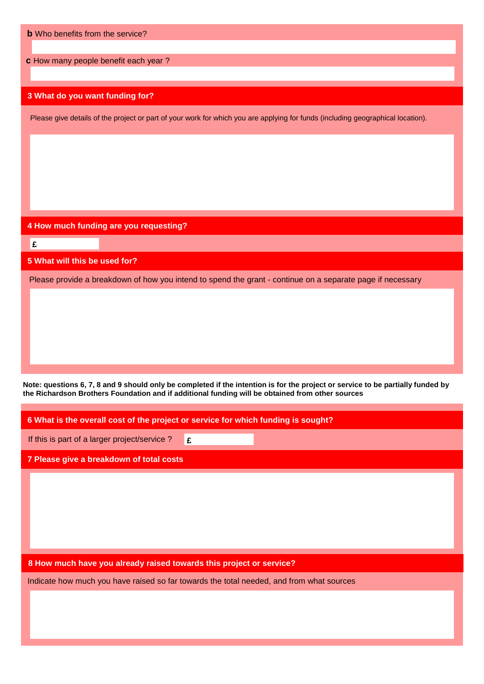| <b>b</b> Who benefits from the service?                                                                                                                                                                                             |  |  |  |
|-------------------------------------------------------------------------------------------------------------------------------------------------------------------------------------------------------------------------------------|--|--|--|
| c How many people benefit each year?                                                                                                                                                                                                |  |  |  |
|                                                                                                                                                                                                                                     |  |  |  |
| 3 What do you want funding for?                                                                                                                                                                                                     |  |  |  |
| Please give details of the project or part of your work for which you are applying for funds (including geographical location).                                                                                                     |  |  |  |
|                                                                                                                                                                                                                                     |  |  |  |
|                                                                                                                                                                                                                                     |  |  |  |
|                                                                                                                                                                                                                                     |  |  |  |
|                                                                                                                                                                                                                                     |  |  |  |
| 4 How much funding are you requesting?                                                                                                                                                                                              |  |  |  |
| £                                                                                                                                                                                                                                   |  |  |  |
| 5 What will this be used for?                                                                                                                                                                                                       |  |  |  |
| Please provide a breakdown of how you intend to spend the grant - continue on a separate page if necessary                                                                                                                          |  |  |  |
|                                                                                                                                                                                                                                     |  |  |  |
|                                                                                                                                                                                                                                     |  |  |  |
|                                                                                                                                                                                                                                     |  |  |  |
|                                                                                                                                                                                                                                     |  |  |  |
| Note: questions 6, 7, 8 and 9 should only be completed if the intention is for the project or service to be partially funded by<br>the Richardson Brothers Foundation and if additional funding will be obtained from other sources |  |  |  |
| 6 What is the overall cost of the project or service for which funding is sought?                                                                                                                                                   |  |  |  |

If this is part of a larger project/service ? **£**

**7 Please give a breakdown of total costs**

**8 How much have you already raised towards this project or service?**

Indicate how much you have raised so far towards the total needed, and from what sources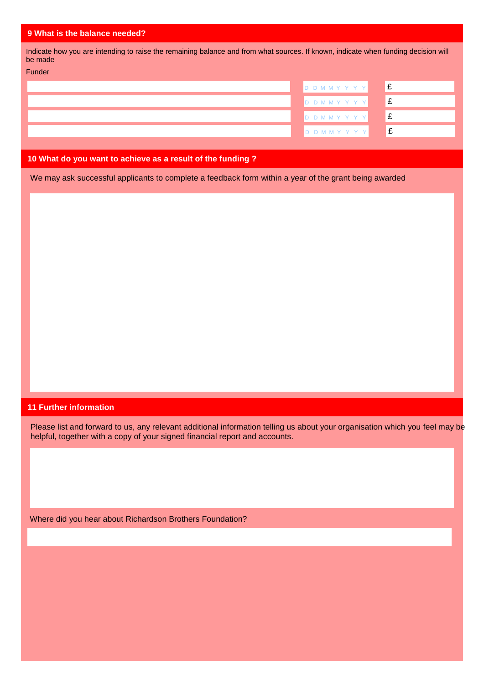#### **9 What is the balance needed?**

Indicate how you are intending to raise the remaining balance and from what sources. If known, indicate when funding decision will be made

> D D M M Y Y Y Y E D D M M Y Y Y Y E

> D D M M Y Y Y Y Y E D D M M Y Y Y Y K

#### Funder

### **10 What do you want to achieve as a result of the funding ?**

We may ask successful applicants to complete a feedback form within a year of the grant being awarded

#### **11 Further information**

Please list and forward to us, any relevant additional information telling us about your organisation which you feel may be helpful, together with a copy of your signed financial report and accounts.

Where did you hear about Richardson Brothers Foundation?